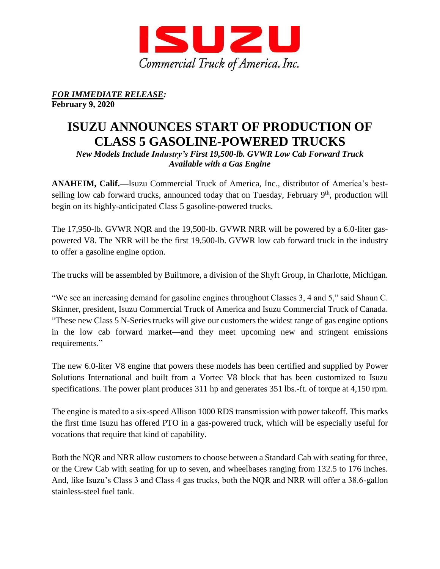

*FOR IMMEDIATE RELEASE:* **February 9, 2020**

## **ISUZU ANNOUNCES START OF PRODUCTION OF CLASS 5 GASOLINE-POWERED TRUCKS**

*New Models Include Industry's First 19,500-lb. GVWR Low Cab Forward Truck Available with a Gas Engine* 

**ANAHEIM, Calif.—**Isuzu Commercial Truck of America, Inc., distributor of America's bestselling low cab forward trucks, announced today that on Tuesday, February 9<sup>th</sup>, production will begin on its highly-anticipated Class 5 gasoline-powered trucks.

The 17,950-lb. GVWR NQR and the 19,500-lb. GVWR NRR will be powered by a 6.0-liter gaspowered V8. The NRR will be the first 19,500-lb. GVWR low cab forward truck in the industry to offer a gasoline engine option.

The trucks will be assembled by Builtmore, a division of the Shyft Group, in Charlotte, Michigan.

"We see an increasing demand for gasoline engines throughout Classes 3, 4 and 5," said Shaun C. Skinner, president, Isuzu Commercial Truck of America and Isuzu Commercial Truck of Canada. "These new Class 5 N-Series trucks will give our customers the widest range of gas engine options in the low cab forward market—and they meet upcoming new and stringent emissions requirements."

The new 6.0-liter V8 engine that powers these models has been certified and supplied by Power Solutions International and built from a Vortec V8 block that has been customized to Isuzu specifications. The power plant produces 311 hp and generates 351 lbs.-ft. of torque at 4,150 rpm.

The engine is mated to a six-speed Allison 1000 RDS transmission with power takeoff. This marks the first time Isuzu has offered PTO in a gas-powered truck, which will be especially useful for vocations that require that kind of capability.

Both the NQR and NRR allow customers to choose between a Standard Cab with seating for three, or the Crew Cab with seating for up to seven, and wheelbases ranging from 132.5 to 176 inches. And, like Isuzu's Class 3 and Class 4 gas trucks, both the NQR and NRR will offer a 38.6-gallon stainless-steel fuel tank.